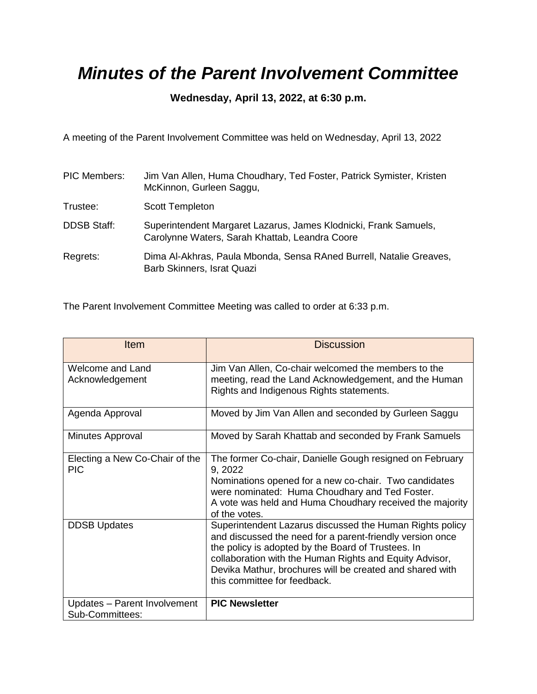## *Minutes of the Parent Involvement Committee*

## **Wednesday, April 13, 2022, at 6:30 p.m.**

A meeting of the Parent Involvement Committee was held on Wednesday, April 13, 2022

| <b>PIC Members:</b> | Jim Van Allen, Huma Choudhary, Ted Foster, Patrick Symister, Kristen<br>McKinnon, Gurleen Saggu,                   |
|---------------------|--------------------------------------------------------------------------------------------------------------------|
| Trustee:            | <b>Scott Templeton</b>                                                                                             |
| <b>DDSB Staff:</b>  | Superintendent Margaret Lazarus, James Klodnicki, Frank Samuels,<br>Carolynne Waters, Sarah Khattab, Leandra Coore |
| Regrets:            | Dima Al-Akhras, Paula Mbonda, Sensa RAned Burrell, Natalie Greaves,<br>Barb Skinners, Israt Quazi                  |

The Parent Involvement Committee Meeting was called to order at 6:33 p.m.

| Item                                            | <b>Discussion</b>                                                                                                                                                                                                                                                                                                                  |
|-------------------------------------------------|------------------------------------------------------------------------------------------------------------------------------------------------------------------------------------------------------------------------------------------------------------------------------------------------------------------------------------|
| Welcome and Land<br>Acknowledgement             | Jim Van Allen, Co-chair welcomed the members to the<br>meeting, read the Land Acknowledgement, and the Human<br>Rights and Indigenous Rights statements.                                                                                                                                                                           |
| Agenda Approval                                 | Moved by Jim Van Allen and seconded by Gurleen Saggu                                                                                                                                                                                                                                                                               |
| Minutes Approval                                | Moved by Sarah Khattab and seconded by Frank Samuels                                                                                                                                                                                                                                                                               |
| Electing a New Co-Chair of the<br><b>PIC</b>    | The former Co-chair, Danielle Gough resigned on February<br>9, 2022<br>Nominations opened for a new co-chair. Two candidates<br>were nominated: Huma Choudhary and Ted Foster.<br>A vote was held and Huma Choudhary received the majority<br>of the votes.                                                                        |
| <b>DDSB Updates</b>                             | Superintendent Lazarus discussed the Human Rights policy<br>and discussed the need for a parent-friendly version once<br>the policy is adopted by the Board of Trustees. In<br>collaboration with the Human Rights and Equity Advisor,<br>Devika Mathur, brochures will be created and shared with<br>this committee for feedback. |
| Updates - Parent Involvement<br>Sub-Committees: | <b>PIC Newsletter</b>                                                                                                                                                                                                                                                                                                              |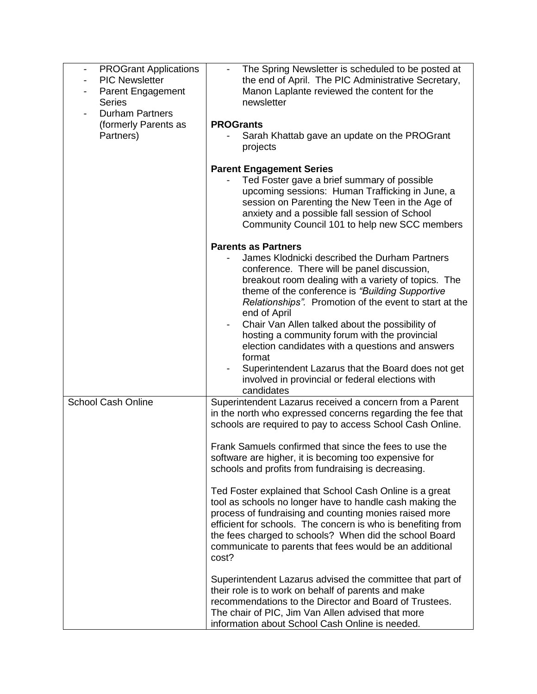| <b>PROGrant Applications</b><br>$\overline{\phantom{a}}$<br><b>PIC Newsletter</b><br>Parent Engagement<br><b>Series</b><br><b>Durham Partners</b> | The Spring Newsletter is scheduled to be posted at<br>$\overline{\phantom{a}}$<br>the end of April. The PIC Administrative Secretary,<br>Manon Laplante reviewed the content for the<br>newsletter                                                                                                                                                                                                                                                                                                                                                                                                                                                                                                                                                                                                                                                              |
|---------------------------------------------------------------------------------------------------------------------------------------------------|-----------------------------------------------------------------------------------------------------------------------------------------------------------------------------------------------------------------------------------------------------------------------------------------------------------------------------------------------------------------------------------------------------------------------------------------------------------------------------------------------------------------------------------------------------------------------------------------------------------------------------------------------------------------------------------------------------------------------------------------------------------------------------------------------------------------------------------------------------------------|
| (formerly Parents as<br>Partners)                                                                                                                 | <b>PROGrants</b><br>Sarah Khattab gave an update on the PROGrant<br>projects                                                                                                                                                                                                                                                                                                                                                                                                                                                                                                                                                                                                                                                                                                                                                                                    |
|                                                                                                                                                   | <b>Parent Engagement Series</b><br>Ted Foster gave a brief summary of possible<br>upcoming sessions: Human Trafficking in June, a<br>session on Parenting the New Teen in the Age of<br>anxiety and a possible fall session of School<br>Community Council 101 to help new SCC members                                                                                                                                                                                                                                                                                                                                                                                                                                                                                                                                                                          |
|                                                                                                                                                   | <b>Parents as Partners</b><br>James Klodnicki described the Durham Partners<br>conference. There will be panel discussion,<br>breakout room dealing with a variety of topics. The<br>theme of the conference is "Building Supportive"<br>Relationships". Promotion of the event to start at the<br>end of April<br>Chair Van Allen talked about the possibility of<br>hosting a community forum with the provincial<br>election candidates with a questions and answers<br>format<br>Superintendent Lazarus that the Board does not get<br>involved in provincial or federal elections with<br>candidates                                                                                                                                                                                                                                                       |
| School Cash Online                                                                                                                                | Superintendent Lazarus received a concern from a Parent<br>in the north who expressed concerns regarding the fee that<br>schools are required to pay to access School Cash Online.<br>Frank Samuels confirmed that since the fees to use the<br>software are higher, it is becoming too expensive for<br>schools and profits from fundraising is decreasing.<br>Ted Foster explained that School Cash Online is a great<br>tool as schools no longer have to handle cash making the<br>process of fundraising and counting monies raised more<br>efficient for schools. The concern is who is benefiting from<br>the fees charged to schools? When did the school Board<br>communicate to parents that fees would be an additional<br>cost?<br>Superintendent Lazarus advised the committee that part of<br>their role is to work on behalf of parents and make |
|                                                                                                                                                   | recommendations to the Director and Board of Trustees.<br>The chair of PIC, Jim Van Allen advised that more<br>information about School Cash Online is needed.                                                                                                                                                                                                                                                                                                                                                                                                                                                                                                                                                                                                                                                                                                  |